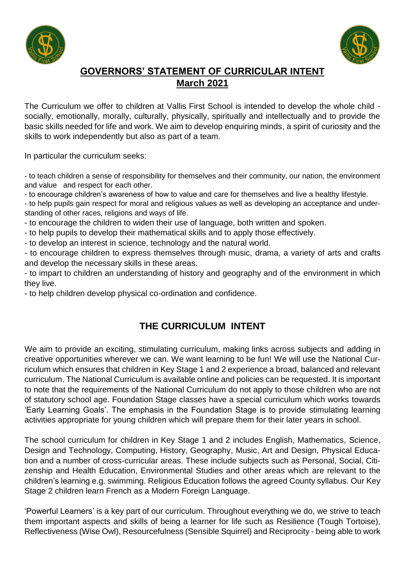



# **GOVERNORS' STATEMENT OF CURRICULAR INTENT March 2021**

The Curriculum we offer to children at Vallis First School is intended to develop the whole child socially, emotionally, morally, culturally, physically, spiritually and intellectually and to provide the basic skills needed for life and work. We aim to develop enquiring minds, a spirit of curiosity and the skills to work independently but also as part of a team.

In particular the curriculum seeks:

- to teach children a sense of responsibility for themselves and their community, our nation, the environment and value and respect for each other.

- to encourage children's awareness of how to value and care for themselves and live a healthy lifestyle.

- to help pupils gain respect for moral and religious values as well as developing an acceptance and understanding of other races, religions and ways of life.

- to encourage the children to widen their use of language, both written and spoken.

- to help pupils to develop their mathematical skills and to apply those effectively.

- to develop an interest in science, technology and the natural world.

- to encourage children to express themselves through music, drama, a variety of arts and crafts and develop the necessary skills in these areas.

- to impart to children an understanding of history and geography and of the environment in which they live.

- to help children develop physical co-ordination and confidence.

# **THE CURRICULUM INTENT**

We aim to provide an exciting, stimulating curriculum, making links across subjects and adding in creative opportunities wherever we can. We want learning to be fun! We will use the National Curriculum which ensures that children in Key Stage 1 and 2 experience a broad, balanced and relevant curriculum. The National Curriculum is available online and policies can be requested. It is important to note that the requirements of the National Curriculum do not apply to those children who are not of statutory school age. Foundation Stage classes have a special curriculum which works towards 'Early Learning Goals'. The emphasis in the Foundation Stage is to provide stimulating learning activities appropriate for young children which will prepare them for their later years in school.

The school curriculum for children in Key Stage 1 and 2 includes English, Mathematics, Science, Design and Technology, Computing, History, Geography, Music, Art and Design, Physical Education and a number of cross-curricular areas. These include subjects such as Personal, Social, Citizenship and Health Education, Environmental Studies and other areas which are relevant to the children's learning e.g. swimming. Religious Education follows the agreed County syllabus. Our Key Stage 2 children learn French as a Modern Foreign Language.

'Powerful Learners' is a key part of our curriculum. Throughout everything we do, we strive to teach them important aspects and skills of being a learner for life such as Resilience (Tough Tortoise), Reflectiveness (Wise Owl), Resourcefulness (Sensible Squirrel) and Reciprocity - being able to work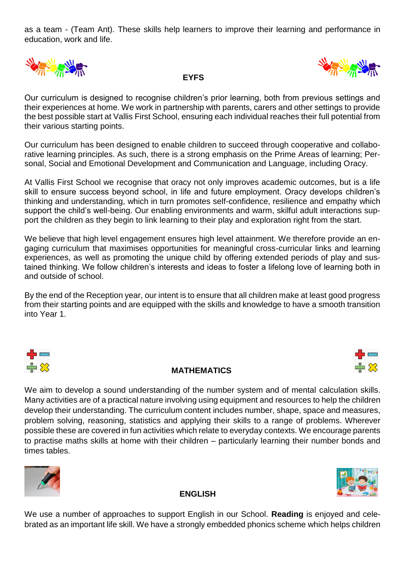as a team - (Team Ant). These skills help learners to improve their learning and performance in education, work and life.



Our curriculum is designed to recognise children's prior learning, both from previous settings and their experiences at home. We work in partnership with parents, carers and other settings to provide the best possible start at Vallis First School, ensuring each individual reaches their full potential from their various starting points.

 **EYFS** 

Our curriculum has been designed to enable children to succeed through cooperative and collaborative learning principles. As such, there is a strong emphasis on the Prime Areas of learning; Personal, Social and Emotional Development and Communication and Language, including Oracy.

At Vallis First School we recognise that oracy not only improves academic outcomes, but is a life skill to ensure success beyond school, in life and future employment. Oracy develops children's thinking and understanding, which in turn promotes self-confidence, resilience and empathy which support the child's well-being. Our enabling environments and warm, skilful adult interactions support the children as they begin to link learning to their play and exploration right from the start.

We believe that high level engagement ensures high level attainment. We therefore provide an engaging curriculum that maximises opportunities for meaningful cross-curricular links and learning experiences, as well as promoting the unique child by offering extended periods of play and sustained thinking. We follow children's interests and ideas to foster a lifelong love of learning both in and outside of school.

By the end of the Reception year, our intent is to ensure that all children make at least good progress from their starting points and are equipped with the skills and knowledge to have a smooth transition into Year 1.



### **MATHEMATICS**



We aim to develop a sound understanding of the number system and of mental calculation skills. Many activities are of a practical nature involving using equipment and resources to help the children develop their understanding. The curriculum content includes number, shape, space and measures, problem solving, reasoning, statistics and applying their skills to a range of problems. Wherever possible these are covered in fun activities which relate to everyday contexts. We encourage parents to practise maths skills at home with their children – particularly learning their number bonds and times tables.





## **ENGLISH**

We use a number of approaches to support English in our School. **Reading** is enjoyed and celebrated as an important life skill. We have a strongly embedded phonics scheme which helps children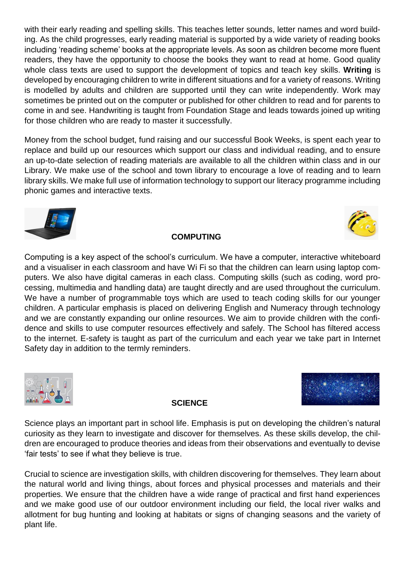with their early reading and spelling skills. This teaches letter sounds, letter names and word building. As the child progresses, early reading material is supported by a wide variety of reading books including 'reading scheme' books at the appropriate levels. As soon as children become more fluent readers, they have the opportunity to choose the books they want to read at home. Good quality whole class texts are used to support the development of topics and teach key skills. **Writing** is developed by encouraging children to write in different situations and for a variety of reasons. Writing is modelled by adults and children are supported until they can write independently. Work may sometimes be printed out on the computer or published for other children to read and for parents to come in and see. Handwriting is taught from Foundation Stage and leads towards joined up writing for those children who are ready to master it successfully.

Money from the school budget, fund raising and our successful Book Weeks, is spent each year to replace and build up our resources which support our class and individual reading, and to ensure an up-to-date selection of reading materials are available to all the children within class and in our Library. We make use of the school and town library to encourage a love of reading and to learn library skills. We make full use of information technology to support our literacy programme including phonic games and interactive texts.



#### **COMPUTING**

Computing is a key aspect of the school's curriculum. We have a computer, interactive whiteboard and a visualiser in each classroom and have Wi Fi so that the children can learn using laptop computers. We also have digital cameras in each class. Computing skills (such as coding, word processing, multimedia and handling data) are taught directly and are used throughout the curriculum. We have a number of programmable toys which are used to teach coding skills for our younger children. A particular emphasis is placed on delivering English and Numeracy through technology and we are constantly expanding our online resources. We aim to provide children with the confidence and skills to use computer resources effectively and safely. The School has filtered access to the internet. E-safety is taught as part of the curriculum and each year we take part in Internet Safety day in addition to the termly reminders.







Science plays an important part in school life. Emphasis is put on developing the children's natural curiosity as they learn to investigate and discover for themselves. As these skills develop, the children are encouraged to produce theories and ideas from their observations and eventually to devise 'fair tests' to see if what they believe is true.

Crucial to science are investigation skills, with children discovering for themselves. They learn about the natural world and living things, about forces and physical processes and materials and their properties. We ensure that the children have a wide range of practical and first hand experiences and we make good use of our outdoor environment including our field, the local river walks and allotment for bug hunting and looking at habitats or signs of changing seasons and the variety of plant life.

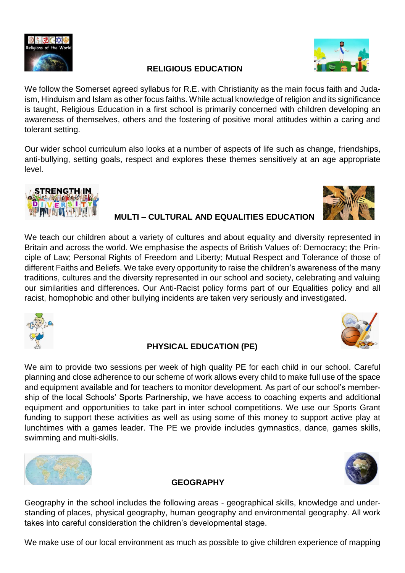

## **RELIGIOUS EDUCATION**

We follow the Somerset agreed syllabus for R.E. with Christianity as the main focus faith and Judaism, Hinduism and Islam as other focus faiths. While actual knowledge of religion and its significance is taught, Religious Education in a first school is primarily concerned with children developing an awareness of themselves, others and the fostering of positive moral attitudes within a caring and tolerant setting.

Our wider school curriculum also looks at a number of aspects of life such as change, friendships, anti-bullying, setting goals, respect and explores these themes sensitively at an age appropriate level.



## **MULTI – CULTURAL AND EQUALITIES EDUCATION**

We teach our children about a variety of cultures and about equality and diversity represented in Britain and across the world. We emphasise the aspects of British Values of: Democracy; the Principle of Law; Personal Rights of Freedom and Liberty; Mutual Respect and Tolerance of those of different Faiths and Beliefs. We take every opportunity to raise the children's awareness of the many traditions, cultures and the diversity represented in our school and society, celebrating and valuing our similarities and differences. Our Anti-Racist policy forms part of our Equalities policy and all racist, homophobic and other bullying incidents are taken very seriously and investigated.





### **PHYSICAL EDUCATION (PE)**

We aim to provide two sessions per week of high quality PE for each child in our school. Careful planning and close adherence to our scheme of work allows every child to make full use of the space and equipment available and for teachers to monitor development. As part of our school's membership of the local Schools' Sports Partnership, we have access to coaching experts and additional equipment and opportunities to take part in inter school competitions. We use our Sports Grant funding to support these activities as well as using some of this money to support active play at lunchtimes with a games leader. The PE we provide includes gymnastics, dance, games skills, swimming and multi-skills.





## **GEOGRAPHY**

Geography in the school includes the following areas - geographical skills, knowledge and understanding of places, physical geography, human geography and environmental geography. All work takes into careful consideration the children's developmental stage.

We make use of our local environment as much as possible to give children experience of mapping

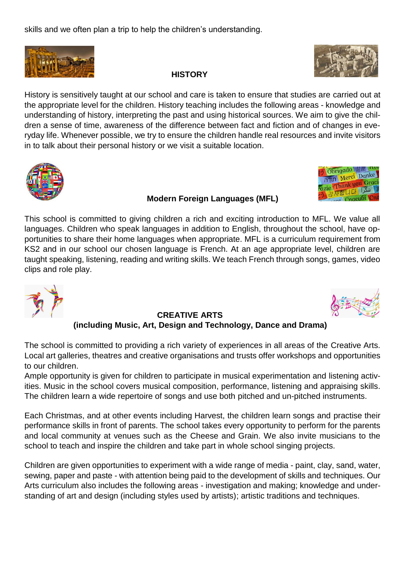skills and we often plan a trip to help the children's understanding.



## **HISTORY**



Obrigado 谢谢 Merci Danke

History is sensitively taught at our school and care is taken to ensure that studies are carried out at the appropriate level for the children. History teaching includes the following areas - knowledge and understanding of history, interpreting the past and using historical sources. We aim to give the children a sense of time, awareness of the difference between fact and fiction and of changes in everyday life. Whenever possible, we try to ensure the children handle real resources and invite visitors in to talk about their personal history or we visit a suitable location.



## **Modern Foreign Languages (MFL)**

This school is committed to giving children a rich and exciting introduction to MFL. We value all languages. Children who speak languages in addition to English, throughout the school, have opportunities to share their home languages when appropriate. MFL is a curriculum requirement from KS2 and in our school our chosen language is French. At an age appropriate level, children are taught speaking, listening, reading and writing skills. We teach French through songs, games, video clips and role play.



#### **CREATIVE ARTS (including Music, Art, Design and Technology, Dance and Drama)**

The school is committed to providing a rich variety of experiences in all areas of the Creative Arts. Local art galleries, theatres and creative organisations and trusts offer workshops and opportunities to our children.

Ample opportunity is given for children to participate in musical experimentation and listening activities. Music in the school covers musical composition, performance, listening and appraising skills. The children learn a wide repertoire of songs and use both pitched and un-pitched instruments.

Each Christmas, and at other events including Harvest, the children learn songs and practise their performance skills in front of parents. The school takes every opportunity to perform for the parents and local community at venues such as the Cheese and Grain. We also invite musicians to the school to teach and inspire the children and take part in whole school singing projects.

Children are given opportunities to experiment with a wide range of media - paint, clay, sand, water, sewing, paper and paste - with attention being paid to the development of skills and techniques. Our Arts curriculum also includes the following areas - investigation and making; knowledge and understanding of art and design (including styles used by artists); artistic traditions and techniques.